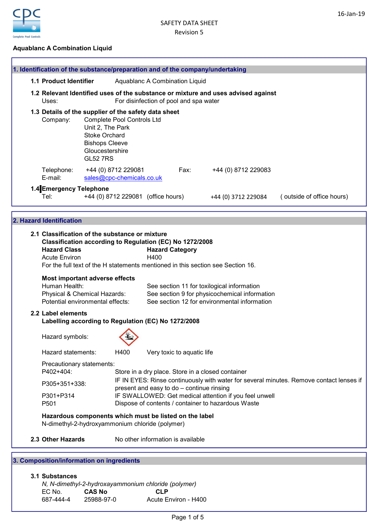16-Jan-19



ï

## Aquablanc A Combination Liquid

|                               | 1. Identification of the substance/preparation and of the company/undertaking                                                                                                                                                                |                                                                                                              |                                                                                                                                      |            |                                        |                                                                                                                                             |                     |                           |
|-------------------------------|----------------------------------------------------------------------------------------------------------------------------------------------------------------------------------------------------------------------------------------------|--------------------------------------------------------------------------------------------------------------|--------------------------------------------------------------------------------------------------------------------------------------|------------|----------------------------------------|---------------------------------------------------------------------------------------------------------------------------------------------|---------------------|---------------------------|
|                               | 1.1 Product Identifier                                                                                                                                                                                                                       |                                                                                                              |                                                                                                                                      |            | Aquablanc A Combination Liquid         |                                                                                                                                             |                     |                           |
|                               | 1.2 Relevant Identified uses of the substance or mixture and uses advised against<br>Uses:                                                                                                                                                   |                                                                                                              |                                                                                                                                      |            | For disinfection of pool and spa water |                                                                                                                                             |                     |                           |
|                               | 1.3 Details of the supplier of the safety data sheet<br>Company:                                                                                                                                                                             | Unit 2, The Park<br><b>Stoke Orchard</b><br><b>Bishops Cleeve</b><br>Gloucestershire<br><b>GL52 7RS</b>      | <b>Complete Pool Controls Ltd</b>                                                                                                    |            |                                        |                                                                                                                                             |                     |                           |
|                               | Telephone:<br>E-mail:                                                                                                                                                                                                                        |                                                                                                              | +44 (0) 8712 229081<br>sales@cpc-chemicals.co.uk                                                                                     |            | Fax:                                   |                                                                                                                                             | +44 (0) 8712 229083 |                           |
|                               | 1.4 Emergency Telephone<br>Tel:                                                                                                                                                                                                              |                                                                                                              | +44 (0) 8712 229081 (office hours)                                                                                                   |            |                                        | +44 (0) 3712 229084                                                                                                                         |                     | (outside of office hours) |
|                               | 2. Hazard Identification                                                                                                                                                                                                                     |                                                                                                              |                                                                                                                                      |            |                                        |                                                                                                                                             |                     |                           |
|                               | 2.1 Classification of the substance or mixture<br>Classification according to Regulation (EC) No 1272/2008<br><b>Hazard Class</b><br><b>Acute Environ</b><br>For the full text of the H statements mentioned in this section see Section 16. |                                                                                                              |                                                                                                                                      | H400       | <b>Hazard Category</b>                 |                                                                                                                                             |                     |                           |
|                               | Most important adverse effects<br>Human Health:<br>Physical & Chemical Hazards:<br>Potential environmental effects:                                                                                                                          |                                                                                                              |                                                                                                                                      |            |                                        | See section 11 for toxilogical information<br>See section 9 for physicochemical information<br>See section 12 for environmental information |                     |                           |
|                               | 2.2 Label elements<br>Labelling according to Regulation (EC) No 1272/2008                                                                                                                                                                    |                                                                                                              |                                                                                                                                      |            |                                        |                                                                                                                                             |                     |                           |
|                               | Hazard symbols:                                                                                                                                                                                                                              |                                                                                                              |                                                                                                                                      |            |                                        |                                                                                                                                             |                     |                           |
|                               | Hazard statements:                                                                                                                                                                                                                           |                                                                                                              | H400                                                                                                                                 |            | Very toxic to aquatic life             |                                                                                                                                             |                     |                           |
|                               | Precautionary statements:<br>P402+404:                                                                                                                                                                                                       |                                                                                                              |                                                                                                                                      |            |                                        | Store in a dry place. Store in a closed container                                                                                           |                     |                           |
|                               | P305+351+338:                                                                                                                                                                                                                                |                                                                                                              | IF IN EYES: Rinse continuously with water for several minutes. Remove contact lenses if<br>present and easy to do - continue rinsing |            |                                        |                                                                                                                                             |                     |                           |
| P301+P314<br>P <sub>501</sub> |                                                                                                                                                                                                                                              | IF SWALLOWED: Get medical attention if you feel unwell<br>Dispose of contents / container to hazardous Waste |                                                                                                                                      |            |                                        |                                                                                                                                             |                     |                           |
|                               | Hazardous components which must be listed on the label<br>N-dimethyl-2-hydroxyammonium chloride (polymer)                                                                                                                                    |                                                                                                              |                                                                                                                                      |            |                                        |                                                                                                                                             |                     |                           |
|                               | 2.3 Other Hazards                                                                                                                                                                                                                            |                                                                                                              |                                                                                                                                      |            | No other information is available      |                                                                                                                                             |                     |                           |
|                               | 3. Composition/information on ingredients                                                                                                                                                                                                    |                                                                                                              |                                                                                                                                      |            |                                        |                                                                                                                                             |                     |                           |
|                               | 3.1 Substances<br>N, N-dimethyl-2-hydroxayammonium chloride (polymer)<br>EC No.<br>687-444-4                                                                                                                                                 | <b>CAS No</b><br>25988-97-0                                                                                  |                                                                                                                                      | <b>CLP</b> | Acute Environ - H400                   |                                                                                                                                             |                     |                           |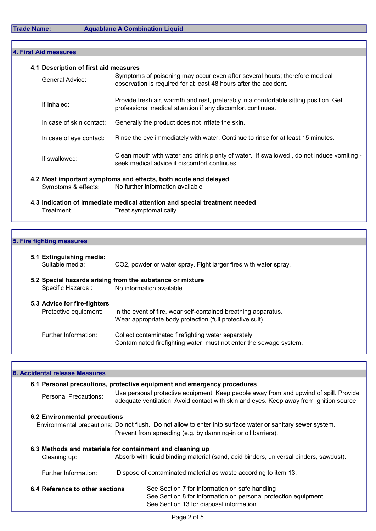| 4.1 Description of first aid measures |                                                                                                                                                      |
|---------------------------------------|------------------------------------------------------------------------------------------------------------------------------------------------------|
| General Advice:                       | Symptoms of poisoning may occur even after several hours; therefore medical<br>observation is required for at least 48 hours after the accident.     |
| If Inhaled:                           | Provide fresh air, warmth and rest, preferably in a comfortable sitting position. Get<br>professional medical attention if any discomfort continues. |
| In case of skin contact:              | Generally the product does not irritate the skin.                                                                                                    |
| In case of eye contact:               | Rinse the eye immediately with water. Continue to rinse for at least 15 minutes.                                                                     |
| If swallowed:                         | Clean mouth with water and drink plenty of water. If swallowed, do not induce vomiting -<br>seek medical advice if discomfort continues              |
| Symptoms & effects:                   | 4.2 Most important symptoms and effects, both acute and delayed<br>No further information available                                                  |

## 5. Fire fighting measures

| 5.1 Extinguishing media:<br>Suitable media:           | CO2, powder or water spray. Fight larger fires with water spray.                                                           |
|-------------------------------------------------------|----------------------------------------------------------------------------------------------------------------------------|
| Specific Hazards :                                    | 5.2 Special hazards arising from the substance or mixture<br>No information available                                      |
| 5.3 Advice for fire-fighters<br>Protective equipment: | In the event of fire, wear self-contained breathing apparatus.<br>Wear appropriate body protection (full protective suit). |
| Further Information:                                  | Collect contaminated firefighting water separately<br>Contaminated firefighting water must not enter the sewage system.    |

| <b>6. Accidental release Measures</b>                     |  |                                                                                                                                                                                  |
|-----------------------------------------------------------|--|----------------------------------------------------------------------------------------------------------------------------------------------------------------------------------|
|                                                           |  | 6.1 Personal precautions, protective equipment and emergency procedures                                                                                                          |
| Personal Precautions:                                     |  | Use personal protective equipment. Keep people away from and upwind of spill. Provide<br>adequate ventilation. Avoid contact with skin and eyes. Keep away from ignition source. |
| 6.2 Environmental precautions                             |  |                                                                                                                                                                                  |
|                                                           |  | Environmental precautions: Do not flush. Do not allow to enter into surface water or sanitary sewer system.                                                                      |
|                                                           |  | Prevent from spreading (e.g. by damning-in or oil barriers).                                                                                                                     |
| 6.3 Methods and materials for containment and cleaning up |  |                                                                                                                                                                                  |
| Cleaning up:                                              |  | Absorb with liquid binding material (sand, acid binders, universal binders, sawdust).                                                                                            |
| Further Information:                                      |  | Dispose of contaminated material as waste according to item 13.                                                                                                                  |
| 6.4 Reference to other sections                           |  | See Section 7 for information on safe handling                                                                                                                                   |
|                                                           |  | See Section 8 for information on personal protection equipment                                                                                                                   |
|                                                           |  | See Section 13 for disposal information                                                                                                                                          |
|                                                           |  |                                                                                                                                                                                  |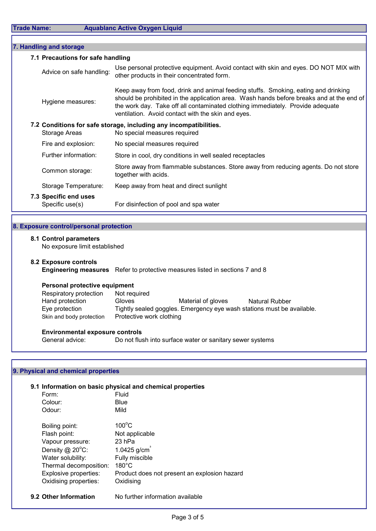| 7. Handling and storage |                                                         |                                                                                                                                                                                                                                                                                                                        |
|-------------------------|---------------------------------------------------------|------------------------------------------------------------------------------------------------------------------------------------------------------------------------------------------------------------------------------------------------------------------------------------------------------------------------|
|                         | 7.1 Precautions for safe handling                       |                                                                                                                                                                                                                                                                                                                        |
|                         | Advice on safe handling:                                | Use personal protective equipment. Avoid contact with skin and eyes. DO NOT MIX with<br>other products in their concentrated form.                                                                                                                                                                                     |
|                         | Hygiene measures:                                       | Keep away from food, drink and animal feeding stuffs. Smoking, eating and drinking<br>should be prohibited in the application area. Wash hands before breaks and at the end of<br>the work day. Take off all contaminated clothing immediately. Provide adequate<br>ventilation. Avoid contact with the skin and eyes. |
|                         | <b>Storage Areas</b>                                    | 7.2 Conditions for safe storage, including any incompatibilities.<br>No special measures required                                                                                                                                                                                                                      |
|                         | Fire and explosion:                                     | No special measures required                                                                                                                                                                                                                                                                                           |
|                         | Further information:                                    | Store in cool, dry conditions in well sealed receptacles                                                                                                                                                                                                                                                               |
|                         | Common storage:                                         | Store away from flammable substances. Store away from reducing agents. Do not store<br>together with acids.                                                                                                                                                                                                            |
|                         | Storage Temperature:                                    | Keep away from heat and direct sunlight                                                                                                                                                                                                                                                                                |
|                         | 7.3 Specific end uses<br>Specific use(s)                | For disinfection of pool and spa water                                                                                                                                                                                                                                                                                 |
|                         |                                                         |                                                                                                                                                                                                                                                                                                                        |
|                         | 8. Exposure control/personal protection                 |                                                                                                                                                                                                                                                                                                                        |
|                         | 8.1 Control parameters<br>No exposure limit established |                                                                                                                                                                                                                                                                                                                        |
|                         | 8.2 Exposure controls                                   | <b>Engineering measures</b> Refer to protective measures listed in sections 7 and 8                                                                                                                                                                                                                                    |
|                         | Personal protective equipment                           |                                                                                                                                                                                                                                                                                                                        |
|                         | Respiratory protection                                  | Not required                                                                                                                                                                                                                                                                                                           |
|                         | Hand protection                                         | Material of gloves<br>Gloves<br><b>Natural Rubber</b>                                                                                                                                                                                                                                                                  |
|                         | Eye protection<br>Skin and body protection              | Tightly sealed goggles. Emergency eye wash stations must be available.<br>Protective work clothing                                                                                                                                                                                                                     |

### Environmental exposure controls

General advice: Do not flush into surface water or sanitary sewer systems

### 9. Physical and chemical properties

Skin and body protection

### 9.1 Information on basic physical and chemical properties

| Form:                  | Fluid                                        |
|------------------------|----------------------------------------------|
| Colour:                | Blue                                         |
| Odour:                 | Mild                                         |
| Boiling point:         | $100^{\circ}$ C                              |
| Flash point:           | Not applicable                               |
| Vapour pressure:       | 23 hPa                                       |
| Density $@$ 20 $°C$ :  | $1.0425$ g/cm                                |
| Water solubility:      | Fully miscible                               |
| Thermal decomposition: | $180^{\circ}$ C                              |
| Explosive properties:  | Product does not present an explosion hazard |
| Oxidising properties:  | Oxidising                                    |
|                        |                                              |
|                        |                                              |

9.2 Other Information No further information available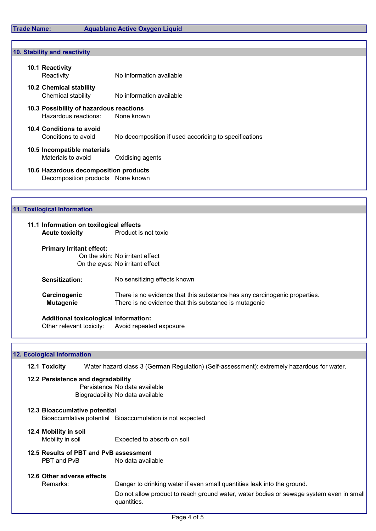### 10. Stability and reactivity

| 10.1 Reactivity<br>Reactivity                                              | No information available                              |
|----------------------------------------------------------------------------|-------------------------------------------------------|
| 10.2 Chemical stability<br>Chemical stability                              | No information available                              |
| 10.3 Possibility of hazardous reactions<br>Hazardous reactions:            | None known                                            |
| 10.4 Conditions to avoid<br>Conditions to avoid                            | No decomposition if used accoriding to specifications |
| 10.5 Incompatible materials<br>Materials to avoid                          | Oxidising agents                                      |
| 10.6 Hazardous decomposition products<br>Decomposition products None known |                                                       |

# 11.1 Information on toxilogical effects Acute toxicity **Product is not toxic** Primary Irritant effect: On the skin: No irritant effect On the eyes: No irritant effect Sensitization: No sensitizing effects known Carcinogenic There is no evidence that this substance has any carcinogenic properties. **Mutagenic** There is no evidence that this substance is mutagenic 11. Toxilogical Information

Additional toxicological information: Other relevant toxicity: Avoid repeated exposure

### 12. Ecological Information

12.1 Toxicity Water hazard class 3 (German Regulation) (Self-assessment): extremely hazardous for water.

### 12.2 Persistence and degradability Persistence No data available Biogradability No data available

12.3 Bioaccumlative potential Bioaccumlative potential Bioaccumulation is not expected

# 12.4 Mobility in soil

Mobility in soil **Expected to absorb on soil** 

12.5 Results of PBT and PvB assessment PBT and PvB No data available

### 12.6 Other adverse effects

Remarks: Danger to drinking water if even small quantities leak into the ground.

Do not allow product to reach ground water, water bodies or sewage system even in small quantities.